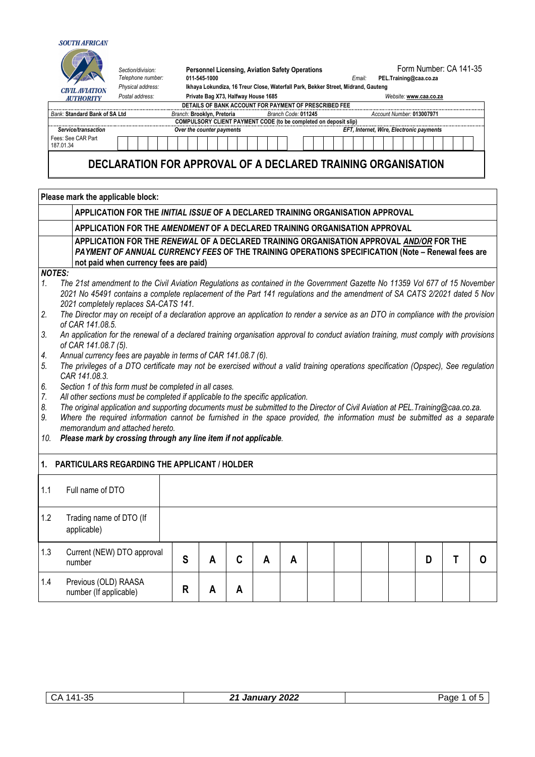

|           |                                                                                                                                                                                                                                       | Section/division:<br>Telephone number: | <b>Personnel Licensing, Aviation Safety Operations</b><br>011-545-1000              |                     | Form Number: CA 141-35<br>PEL.Training@caa.co.za<br>Email:<br>Ikhaya Lokundiza, 16 Treur Close, Waterfall Park, Bekker Street, Midrand, Gauteng |  |                                          |  |  |  |
|-----------|---------------------------------------------------------------------------------------------------------------------------------------------------------------------------------------------------------------------------------------|----------------------------------------|-------------------------------------------------------------------------------------|---------------------|-------------------------------------------------------------------------------------------------------------------------------------------------|--|------------------------------------------|--|--|--|
|           | <b>CIVIL AVIATION</b>                                                                                                                                                                                                                 | Physical address:                      |                                                                                     |                     |                                                                                                                                                 |  |                                          |  |  |  |
|           | <b>AUTHORITY</b>                                                                                                                                                                                                                      | Postal address:                        | Private Bag X73, Halfway House 1685                                                 |                     |                                                                                                                                                 |  | Website: www.caa.co.za                   |  |  |  |
|           | Bank: Standard Bank of SA Ltd                                                                                                                                                                                                         |                                        | DETAILS OF BANK ACCOUNT FOR PAYMENT OF PRESCRIBED FEE<br>Branch: Brooklyn, Pretoria | Branch Code: 011245 |                                                                                                                                                 |  | Account Number: 013007971                |  |  |  |
|           |                                                                                                                                                                                                                                       |                                        | COMPULSORY CLIENT PAYMENT CODE (to be completed on deposit slip)                    |                     |                                                                                                                                                 |  |                                          |  |  |  |
|           | Service/transaction                                                                                                                                                                                                                   |                                        | Over the counter payments                                                           |                     |                                                                                                                                                 |  | EFT, Internet, Wire, Electronic payments |  |  |  |
| 187.01.34 | Fees: See CAR Part                                                                                                                                                                                                                    |                                        |                                                                                     |                     |                                                                                                                                                 |  |                                          |  |  |  |
|           |                                                                                                                                                                                                                                       | Please mark the applicable block:      | DECLARATION FOR APPROVAL OF A DECLARED TRAINING ORGANISATION                        |                     |                                                                                                                                                 |  |                                          |  |  |  |
|           |                                                                                                                                                                                                                                       |                                        | APPLICATION FOR THE INITIAL ISSUE OF A DECLARED TRAINING ORGANISATION APPROVAL      |                     |                                                                                                                                                 |  |                                          |  |  |  |
|           |                                                                                                                                                                                                                                       |                                        | APPLICATION FOR THE AMENDMENT OF A DECLARED TRAINING ORGANISATION APPROVAL          |                     |                                                                                                                                                 |  |                                          |  |  |  |
|           | APPLICATION FOR THE RENEWAL OF A DECLARED TRAINING ORGANISATION APPROVAL AND/OR FOR THE<br>PAYMENT OF ANNUAL CURRENCY FEES OF THE TRAINING OPERATIONS SPECIFICATION (Note - Renewal fees are<br>not paid when currency fees are paid) |                                        |                                                                                     |                     |                                                                                                                                                 |  |                                          |  |  |  |
| NOTES:    |                                                                                                                                                                                                                                       |                                        |                                                                                     |                     |                                                                                                                                                 |  |                                          |  |  |  |

- **NO**<br>1. *1. The 21st amendment to the Civil Aviation Regulations as contained in the Government Gazette No 11359 Vol 677 of 15 November 2021 No 45491 contains a complete replacement of the Part 141 regulations and the amendment of SA CATS 2/2021 dated 5 Nov 2021 completely replaces SA-CATS 141.*
- *2. The Director may on receipt of a declaration approve an application to render a service as an DTO in compliance with the provision of CAR 141.08.5.*
- *3. An application for the renewal of a declared training organisation approval to conduct aviation training, must comply with provisions of CAR 141.08.7 (5).*
- *4. Annual currency fees are payable in terms of CAR 141.08.7 (6).*
- *5. The privileges of a DTO certificate may not be exercised without a valid training operations specification (Opspec), See regulation CAR 141.08.3.*
- *6. Section 1 of this form must be completed in all cases.*
- *7. All other sections must be completed if applicable to the specific application.*
- *8. The original application and supporting documents must be submitted to the Director of Civil Aviation at PEL.Training@caa.co.za.*
- Where the required information cannot be furnished in the space provided, the information must be submitted as a separate *memorandum and attached hereto.*
- *10. Please mark by crossing through any line item if not applicable.*

## **1. PARTICULARS REGARDING THE APPLICANT / HOLDER**

| 1.1 | Full name of DTO                               |   |   |   |   |   |  |  |   |  |
|-----|------------------------------------------------|---|---|---|---|---|--|--|---|--|
| 1.2 | Trading name of DTO (If<br>applicable)         |   |   |   |   |   |  |  |   |  |
| 1.3 | Current (NEW) DTO approval<br>number           | S | A |   | Α | Α |  |  | D |  |
| 1.4 | Previous (OLD) RAASA<br>number (If applicable) | R | А | A |   |   |  |  |   |  |

| ۰л<br>.41<br>◡ᄼ<br>- มน | 2022<br>.<br>- 1<br>ш<br>. .<br>Ja | ade<br>Ωt |
|-------------------------|------------------------------------|-----------|
|                         |                                    |           |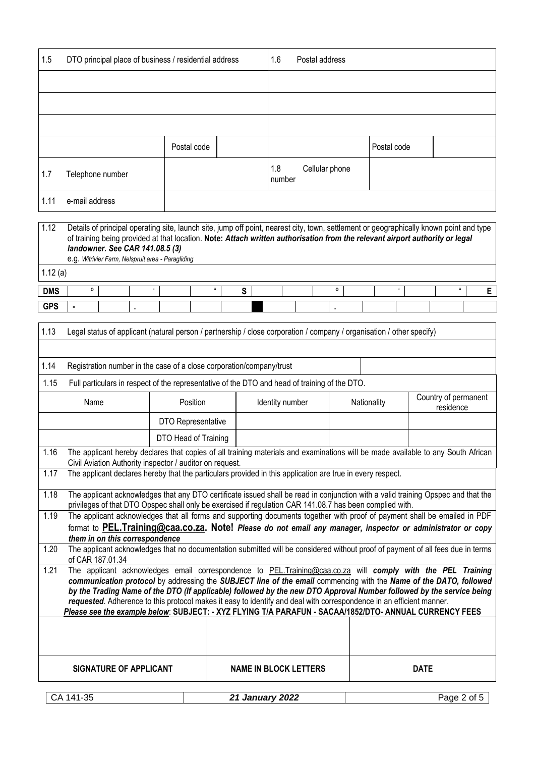| 1.5  | DTO principal place of business / residential address |             |  | 1.6           | Postal address |             |  |
|------|-------------------------------------------------------|-------------|--|---------------|----------------|-------------|--|
|      |                                                       |             |  |               |                |             |  |
|      |                                                       |             |  |               |                |             |  |
|      |                                                       |             |  |               |                |             |  |
|      |                                                       | Postal code |  |               |                | Postal code |  |
| 1.7  | Telephone number                                      |             |  | 1.8<br>number | Cellular phone |             |  |
| 1.11 | e-mail address                                        |             |  |               |                |             |  |

| 1.12       | Details of principal operating site, launch site, jump off point, nearest city, town, settlement or geographically known point and type<br>of training being provided at that location. Note: Attach written authorisation from the relevant airport authority or legal<br>landowner. See CAR 141.08.5 (3)<br>e.g. Witrivier Farm, Nelspruit area - Paragliding |  |  |  |  |  |  |  |  |  |  |  |  |
|------------|-----------------------------------------------------------------------------------------------------------------------------------------------------------------------------------------------------------------------------------------------------------------------------------------------------------------------------------------------------------------|--|--|--|--|--|--|--|--|--|--|--|--|
| 1.12(a)    |                                                                                                                                                                                                                                                                                                                                                                 |  |  |  |  |  |  |  |  |  |  |  |  |
| <b>DMS</b> | O                                                                                                                                                                                                                                                                                                                                                               |  |  |  |  |  |  |  |  |  |  |  |  |
| <b>GPS</b> |                                                                                                                                                                                                                                                                                                                                                                 |  |  |  |  |  |  |  |  |  |  |  |  |

| 1.13 | Legal status of applicant (natural person / partnership / close corporation / company / organisation / other specify)                                                                                                                         |                      |                                                                                                                                                                                                                                           |             |                                   |  |  |  |  |  |
|------|-----------------------------------------------------------------------------------------------------------------------------------------------------------------------------------------------------------------------------------------------|----------------------|-------------------------------------------------------------------------------------------------------------------------------------------------------------------------------------------------------------------------------------------|-------------|-----------------------------------|--|--|--|--|--|
|      |                                                                                                                                                                                                                                               |                      |                                                                                                                                                                                                                                           |             |                                   |  |  |  |  |  |
| 1.14 | Registration number in the case of a close corporation/company/trust                                                                                                                                                                          |                      |                                                                                                                                                                                                                                           |             |                                   |  |  |  |  |  |
| 1.15 |                                                                                                                                                                                                                                               |                      | Full particulars in respect of the representative of the DTO and head of training of the DTO.                                                                                                                                             |             |                                   |  |  |  |  |  |
|      | Name                                                                                                                                                                                                                                          | Position             | Identity number                                                                                                                                                                                                                           | Nationality | Country of permanent<br>residence |  |  |  |  |  |
|      |                                                                                                                                                                                                                                               | DTO Representative   |                                                                                                                                                                                                                                           |             |                                   |  |  |  |  |  |
|      |                                                                                                                                                                                                                                               | DTO Head of Training |                                                                                                                                                                                                                                           |             |                                   |  |  |  |  |  |
| 1.16 | The applicant hereby declares that copies of all training materials and examinations will be made available to any South African<br>Civil Aviation Authority inspector / auditor on request.                                                  |                      |                                                                                                                                                                                                                                           |             |                                   |  |  |  |  |  |
| 1.17 | The applicant declares hereby that the particulars provided in this application are true in every respect.                                                                                                                                    |                      |                                                                                                                                                                                                                                           |             |                                   |  |  |  |  |  |
| 1.18 | The applicant acknowledges that any DTO certificate issued shall be read in conjunction with a valid training Opspec and that the<br>privileges of that DTO Opspec shall only be exercised if regulation CAR 141.08.7 has been complied with. |                      |                                                                                                                                                                                                                                           |             |                                   |  |  |  |  |  |
| 1.19 |                                                                                                                                                                                                                                               |                      | The applicant acknowledges that all forms and supporting documents together with proof of payment shall be emailed in PDF                                                                                                                 |             |                                   |  |  |  |  |  |
|      | them in on this correspondence                                                                                                                                                                                                                |                      | format to PEL. Training@caa.co.za. Note! Please do not email any manager, inspector or administrator or copy                                                                                                                              |             |                                   |  |  |  |  |  |
| 1.20 | of CAR 187.01.34                                                                                                                                                                                                                              |                      | The applicant acknowledges that no documentation submitted will be considered without proof of payment of all fees due in terms                                                                                                           |             |                                   |  |  |  |  |  |
| 1.21 |                                                                                                                                                                                                                                               |                      | The applicant acknowledges email correspondence to PEL.Training@caa.co.za will comply with the PEL Training                                                                                                                               |             |                                   |  |  |  |  |  |
|      |                                                                                                                                                                                                                                               |                      | communication protocol by addressing the SUBJECT line of the email commencing with the Name of the DATO, followed<br>by the Trading Name of the DTO (If applicable) followed by the new DTO Approval Number followed by the service being |             |                                   |  |  |  |  |  |
|      |                                                                                                                                                                                                                                               |                      | requested. Adherence to this protocol makes it easy to identify and deal with correspondence in an efficient manner.                                                                                                                      |             |                                   |  |  |  |  |  |
|      |                                                                                                                                                                                                                                               |                      | Please see the example below: SUBJECT: - XYZ FLYING T/A PARAFUN - SACAA/1852/DTO- ANNUAL CURRENCY FEES                                                                                                                                    |             |                                   |  |  |  |  |  |
|      |                                                                                                                                                                                                                                               |                      |                                                                                                                                                                                                                                           |             |                                   |  |  |  |  |  |
|      |                                                                                                                                                                                                                                               |                      |                                                                                                                                                                                                                                           |             |                                   |  |  |  |  |  |
|      | <b>SIGNATURE OF APPLICANT</b>                                                                                                                                                                                                                 |                      | <b>NAME IN BLOCK LETTERS</b>                                                                                                                                                                                                              |             | <b>DATE</b>                       |  |  |  |  |  |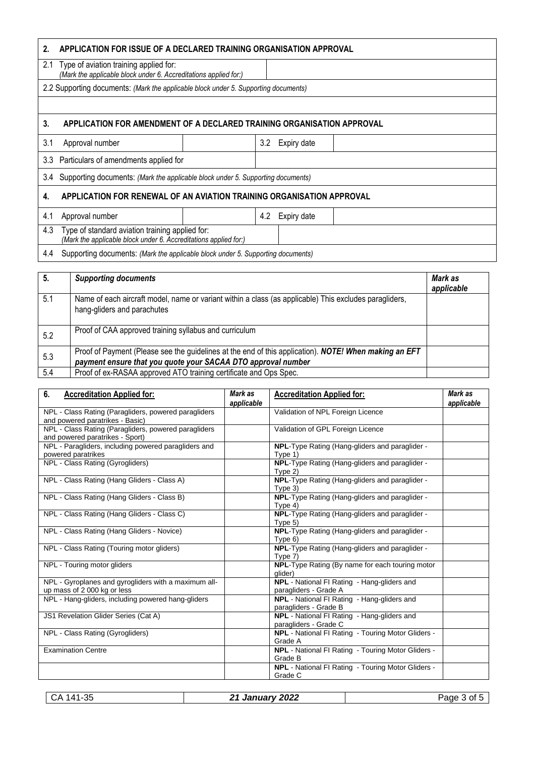| 2.                                                                                                                         | APPLICATION FOR ISSUE OF A DECLARED TRAINING ORGANISATION APPROVAL                                             |  |     |             |  |  |  |  |  |
|----------------------------------------------------------------------------------------------------------------------------|----------------------------------------------------------------------------------------------------------------|--|-----|-------------|--|--|--|--|--|
|                                                                                                                            | 2.1 Type of aviation training applied for:<br>(Mark the applicable block under 6. Accreditations applied for:) |  |     |             |  |  |  |  |  |
|                                                                                                                            | 2.2 Supporting documents: (Mark the applicable block under 5. Supporting documents)                            |  |     |             |  |  |  |  |  |
|                                                                                                                            |                                                                                                                |  |     |             |  |  |  |  |  |
| 3.                                                                                                                         | APPLICATION FOR AMENDMENT OF A DECLARED TRAINING ORGANISATION APPROVAL                                         |  |     |             |  |  |  |  |  |
| 3.1                                                                                                                        | Approval number                                                                                                |  | 3.2 | Expiry date |  |  |  |  |  |
| 3.3                                                                                                                        | Particulars of amendments applied for                                                                          |  |     |             |  |  |  |  |  |
| 3.4                                                                                                                        | Supporting documents: (Mark the applicable block under 5. Supporting documents)                                |  |     |             |  |  |  |  |  |
| 4.                                                                                                                         | APPLICATION FOR RENEWAL OF AN AVIATION TRAINING ORGANISATION APPROVAL                                          |  |     |             |  |  |  |  |  |
| 4.1                                                                                                                        | Approval number                                                                                                |  | 4.2 | Expiry date |  |  |  |  |  |
| Type of standard aviation training applied for:<br>4.3<br>(Mark the applicable block under 6. Accreditations applied for:) |                                                                                                                |  |     |             |  |  |  |  |  |
| 4.4                                                                                                                        | Supporting documents: (Mark the applicable block under 5. Supporting documents)                                |  |     |             |  |  |  |  |  |

| 5.  | <b>Supporting documents</b>                                                                                                                                           | Mark as<br>applicable |
|-----|-----------------------------------------------------------------------------------------------------------------------------------------------------------------------|-----------------------|
| 5.1 | Name of each aircraft model, name or variant within a class (as applicable) This excludes paragliders,<br>hang-gliders and parachutes                                 |                       |
| 5.2 | Proof of CAA approved training syllabus and curriculum                                                                                                                |                       |
| 5.3 | Proof of Payment (Please see the guidelines at the end of this application). NOTE! When making an EFT<br>payment ensure that you quote your SACAA DTO approval number |                       |
| 5.4 | Proof of ex-RASAA approved ATO training certificate and Ops Spec.                                                                                                     |                       |

| 6.<br><b>Accreditation Applied for:</b>                                                 | Mark as    | <b>Accreditation Applied for:</b>                                           | Mark as    |
|-----------------------------------------------------------------------------------------|------------|-----------------------------------------------------------------------------|------------|
|                                                                                         | applicable |                                                                             | applicable |
| NPL - Class Rating (Paragliders, powered paragliders<br>and powered paratrikes - Basic) |            | Validation of NPL Foreign Licence                                           |            |
| NPL - Class Rating (Paragliders, powered paragliders<br>and powered paratrikes - Sport) |            | Validation of GPL Foreign Licence                                           |            |
| NPL - Paragliders, including powered paragliders and<br>powered paratrikes              |            | NPL-Type Rating (Hang-gliders and paraglider -<br>Type 1)                   |            |
| NPL - Class Rating (Gyrogliders)                                                        |            | NPL-Type Rating (Hang-gliders and paraglider -<br>Type $2)$                 |            |
| NPL - Class Rating (Hang Gliders - Class A)                                             |            | NPL-Type Rating (Hang-gliders and paraglider -<br>Type $3)$                 |            |
| NPL - Class Rating (Hang Gliders - Class B)                                             |            | NPL-Type Rating (Hang-gliders and paraglider -<br>Type 4)                   |            |
| NPL - Class Rating (Hang Gliders - Class C)                                             |            | NPL-Type Rating (Hang-gliders and paraglider -<br>Type $5)$                 |            |
| NPL - Class Rating (Hang Gliders - Novice)                                              |            | NPL-Type Rating (Hang-gliders and paraglider -<br>Type $6)$                 |            |
| NPL - Class Rating (Touring motor gliders)                                              |            | NPL-Type Rating (Hang-gliders and paraglider -<br>Type 7)                   |            |
| NPL - Touring motor gliders                                                             |            | NPL-Type Rating (By name for each touring motor<br>glider)                  |            |
| NPL - Gyroplanes and gyrogliders with a maximum all-<br>up mass of 2 000 kg or less     |            | NPL - National FI Rating - Hang-gliders and<br>paragliders - Grade A        |            |
| NPL - Hang-gliders, including powered hang-gliders                                      |            | <b>NPL</b> - National FI Rating - Hang-gliders and<br>paragliders - Grade B |            |
| JS1 Revelation Glider Series (Cat A)                                                    |            | NPL - National FI Rating - Hang-gliders and<br>paragliders - Grade C        |            |
| NPL - Class Rating (Gyrogliders)                                                        |            | NPL - National FI Rating - Touring Motor Gliders -<br>Grade A               |            |
| <b>Examination Centre</b>                                                               |            | NPL - National FI Rating - Touring Motor Gliders -<br>Grade B               |            |
|                                                                                         |            | <b>NPL</b> - National FI Rating - Touring Motor Gliders -<br>Grade C        |            |

CA 141-35 *21 January 2022* Page 3 of 5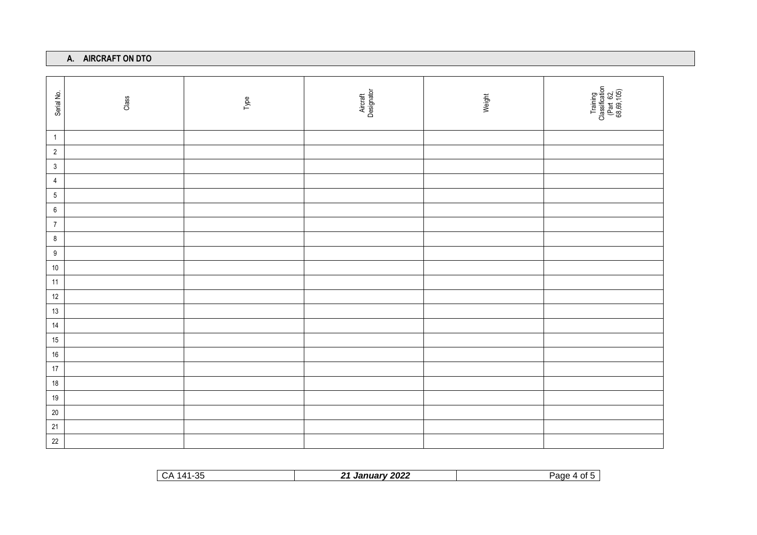## **A. AIRCRAFT ON DTO**

| Serial No.       | Class | Type | Aircraft<br>Designator | Weight | Training<br>Classification<br>(Part 62,<br>68,69,105) |
|------------------|-------|------|------------------------|--------|-------------------------------------------------------|
| $\overline{1}$   |       |      |                        |        |                                                       |
| $\overline{2}$   |       |      |                        |        |                                                       |
| $\mathbf{3}$     |       |      |                        |        |                                                       |
| $\overline{4}$   |       |      |                        |        |                                                       |
| $5\phantom{.0}$  |       |      |                        |        |                                                       |
| $\boldsymbol{6}$ |       |      |                        |        |                                                       |
| $\overline{7}$   |       |      |                        |        |                                                       |
| $\bf 8$          |       |      |                        |        |                                                       |
| $9\,$            |       |      |                        |        |                                                       |
| $10\,$           |       |      |                        |        |                                                       |
| 11               |       |      |                        |        |                                                       |
| 12               |       |      |                        |        |                                                       |
| $13$             |       |      |                        |        |                                                       |
| 14               |       |      |                        |        |                                                       |
| $15\,$           |       |      |                        |        |                                                       |
| $16\,$           |       |      |                        |        |                                                       |
| $17$             |       |      |                        |        |                                                       |
| $18$             |       |      |                        |        |                                                       |
| $19$             |       |      |                        |        |                                                       |
| $20\,$           |       |      |                        |        |                                                       |
| $21$             |       |      |                        |        |                                                       |
| $22\,$           |       |      |                        |        |                                                       |

| -25<br>-CA<br>$141-$<br>ں ر | 2022<br>ワイ<br>_ , Januarv 20 | Paɑe<br>0t<br>$\Delta$ |
|-----------------------------|------------------------------|------------------------|
|                             |                              |                        |